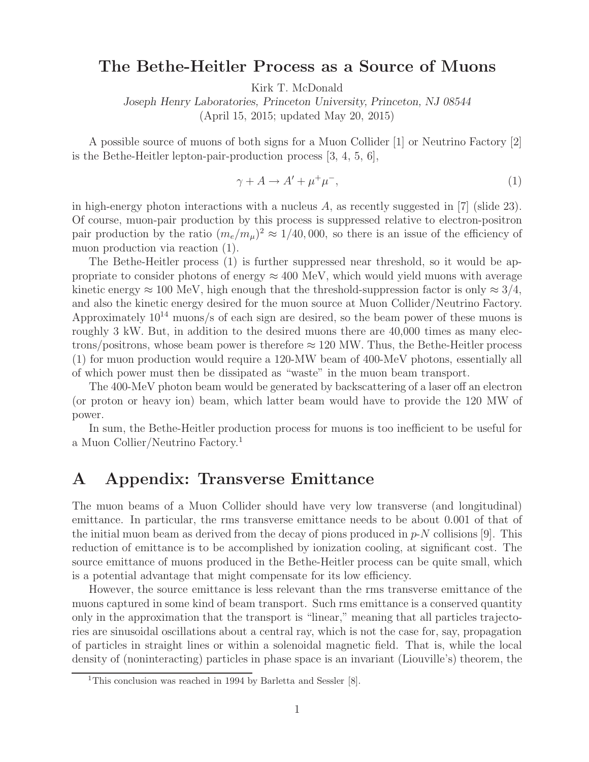## **The Bethe-Heitler Process as a Source of Muons**

Kirk T. McDonald

*Joseph Henry Laboratories, Princeton University, Princeton, NJ 08544* (April 15, 2015; updated May 20, 2015)

A possible source of muons of both signs for a Muon Collider [1] or Neutrino Factory [2] is the Bethe-Heitler lepton-pair-production process [3, 4, 5, 6],

$$
\gamma + A \to A' + \mu^+ \mu^-, \tag{1}
$$

in high-energy photon interactions with a nucleus A, as recently suggested in [7] (slide 23). Of course, muon-pair production by this process is suppressed relative to electron-positron pair production by the ratio  $(m_e/m_\mu)^2 \approx 1/40,000$ , so there is an issue of the efficiency of muon production via reaction (1).

The Bethe-Heitler process (1) is further suppressed near threshold, so it would be appropriate to consider photons of energy  $\approx 400$  MeV, which would yield muons with average kinetic energy  $\approx 100$  MeV, high enough that the threshold-suppression factor is only  $\approx 3/4$ , and also the kinetic energy desired for the muon source at Muon Collider/Neutrino Factory. Approximately  $10^{14}$  muons/s of each sign are desired, so the beam power of these muons is roughly 3 kW. But, in addition to the desired muons there are 40,000 times as many electrons/positrons, whose beam power is therefore  $\approx 120$  MW. Thus, the Bethe-Heitler process (1) for muon production would require a 120-MW beam of 400-MeV photons, essentially all of which power must then be dissipated as "waste" in the muon beam transport.

The 400-MeV photon beam would be generated by backscattering of a laser off an electron (or proton or heavy ion) beam, which latter beam would have to provide the 120 MW of power.

In sum, the Bethe-Heitler production process for muons is too inefficient to be useful for a Muon Collier/Neutrino Factory.<sup>1</sup>

## **A Appendix: Transverse Emittance**

The muon beams of a Muon Collider should have very low transverse (and longitudinal) emittance. In particular, the rms transverse emittance needs to be about 0.001 of that of the initial muon beam as derived from the decay of pions produced in  $p\text{-}N$  collisions [9]. This reduction of emittance is to be accomplished by ionization cooling, at significant cost. The source emittance of muons produced in the Bethe-Heitler process can be quite small, which is a potential advantage that might compensate for its low efficiency.

However, the source emittance is less relevant than the rms transverse emittance of the muons captured in some kind of beam transport. Such rms emittance is a conserved quantity only in the approximation that the transport is "linear," meaning that all particles trajectories are sinusoidal oscillations about a central ray, which is not the case for, say, propagation of particles in straight lines or within a solenoidal magnetic field. That is, while the local density of (noninteracting) particles in phase space is an invariant (Liouville's) theorem, the

<sup>&</sup>lt;sup>1</sup>This conclusion was reached in 1994 by Barletta and Sessler [8].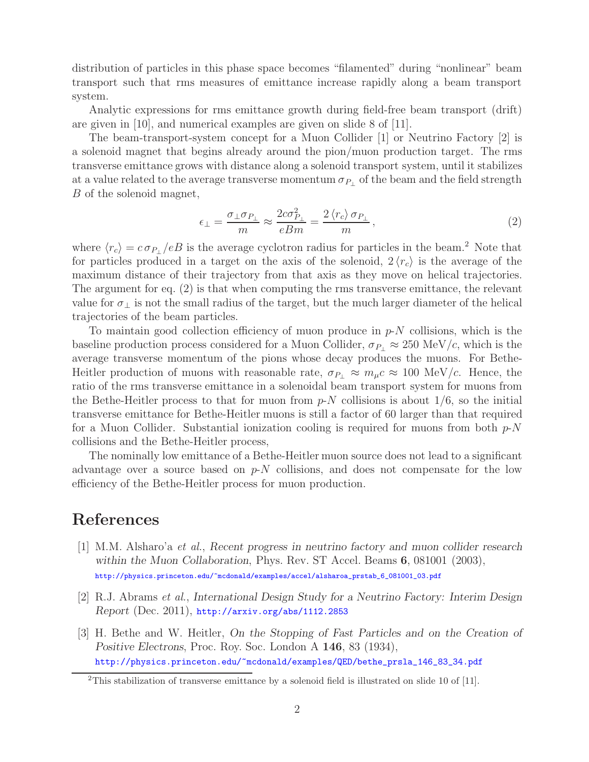distribution of particles in this phase space becomes "filamented" during "nonlinear" beam transport such that rms measures of emittance increase rapidly along a beam transport system.

Analytic expressions for rms emittance growth during field-free beam transport (drift) are given in [10], and numerical examples are given on slide 8 of [11].

The beam-transport-system concept for a Muon Collider [1] or Neutrino Factory [2] is a solenoid magnet that begins already around the pion/muon production target. The rms transverse emittance grows with distance along a solenoid transport system, until it stabilizes at a value related to the average transverse momentum  $\sigma_{P_1}$  of the beam and the field strength B of the solenoid magnet,

$$
\epsilon_{\perp} = \frac{\sigma_{\perp} \sigma_{P_{\perp}}}{m} \approx \frac{2c\sigma_{P_{\perp}}^2}{eBm} = \frac{2\left\langle r_c\right\rangle \sigma_{P_{\perp}}}{m},\tag{2}
$$

where  $\langle r_c \rangle = c \sigma_{P_{\perp}}/eB$  is the average cyclotron radius for particles in the beam.<sup>2</sup> Note that for particles produced in a target on the axis of the solenoid,  $2 \langle r_c \rangle$  is the average of the maximum distance of their trajectory from that axis as they move on helical trajectories. The argument for eq. (2) is that when computing the rms transverse emittance, the relevant value for  $\sigma_{\perp}$  is not the small radius of the target, but the much larger diameter of the helical trajectories of the beam particles.

To maintain good collection efficiency of muon produce in  $p-N$  collisions, which is the baseline production process considered for a Muon Collider,  $\sigma_{P_1} \approx 250 \text{ MeV}/c$ , which is the average transverse momentum of the pions whose decay produces the muons. For Bethe-Heitler production of muons with reasonable rate,  $\sigma_{P_\perp} \approx m_\mu c \approx 100 \text{ MeV}/c$ . Hence, the ratio of the rms transverse emittance in a solenoidal beam transport system for muons from the Bethe-Heitler process to that for muon from  $p-N$  collisions is about  $1/6$ , so the initial transverse emittance for Bethe-Heitler muons is still a factor of 60 larger than that required for a Muon Collider. Substantial ionization cooling is required for muons from both  $p\text{-}N$ collisions and the Bethe-Heitler process,

The nominally low emittance of a Bethe-Heitler muon source does not lead to a significant advantage over a source based on  $p-N$  collisions, and does not compensate for the low efficiency of the Bethe-Heitler process for muon production.

## **References**

- [1] M.M. Alsharo'a *et al.*, *Recent progress in neutrino factory and muon collider research within the Muon Collaboration*, Phys. Rev. ST Accel. Beams **6**, 081001 (2003), http://physics.princeton.edu/~mcdonald/examples/accel/alsharoa\_prstab\_6\_081001\_03.pdf
- [2] R.J. Abrams *et al.*, *International Design Study for a Neutrino Factory: Interim Design Report* (Dec. 2011), http://arxiv.org/abs/1112.2853
- [3] H. Bethe and W. Heitler, *On the Stopping of Fast Particles and on the Creation of Positive Electrons*, Proc. Roy. Soc. London A **146**, 83 (1934), http://physics.princeton.edu/~mcdonald/examples/QED/bethe\_prsla\_146\_83\_34.pdf

<sup>&</sup>lt;sup>2</sup>This stabilization of transverse emittance by a solenoid field is illustrated on slide 10 of [11].